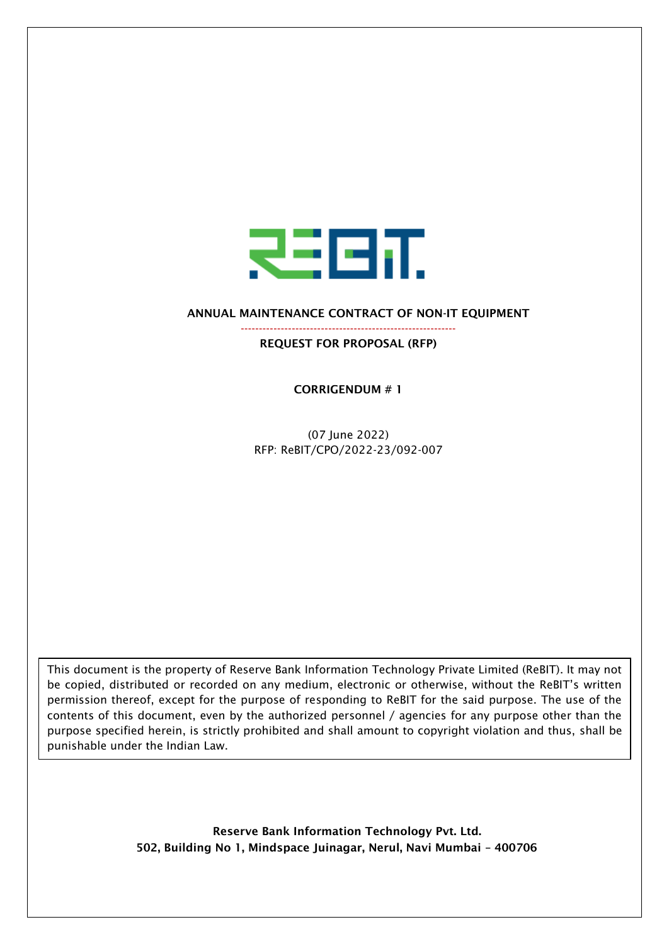

ANNUAL MAINTENANCE CONTRACT OF NON-IT EQUIPMENT

----------------------------------------------------------- REQUEST FOR PROPOSAL (RFP)

CORRIGENDUM # 1

(07 June 2022) RFP: ReBIT/CPO/2022-23/092-007

This document is the property of Reserve Bank Information Technology Private Limited (ReBIT). It may not be copied, distributed or recorded on any medium, electronic or otherwise, without the ReBIT's written permission thereof, except for the purpose of responding to ReBIT for the said purpose. The use of the contents of this document, even by the authorized personnel / agencies for any purpose other than the purpose specified herein, is strictly prohibited and shall amount to copyright violation and thus, shall be punishable under the Indian Law.

> Reserve Bank Information Technology Pvt. Ltd. 502, Building No 1, Mindspace Juinagar, Nerul, Navi Mumbai – 400706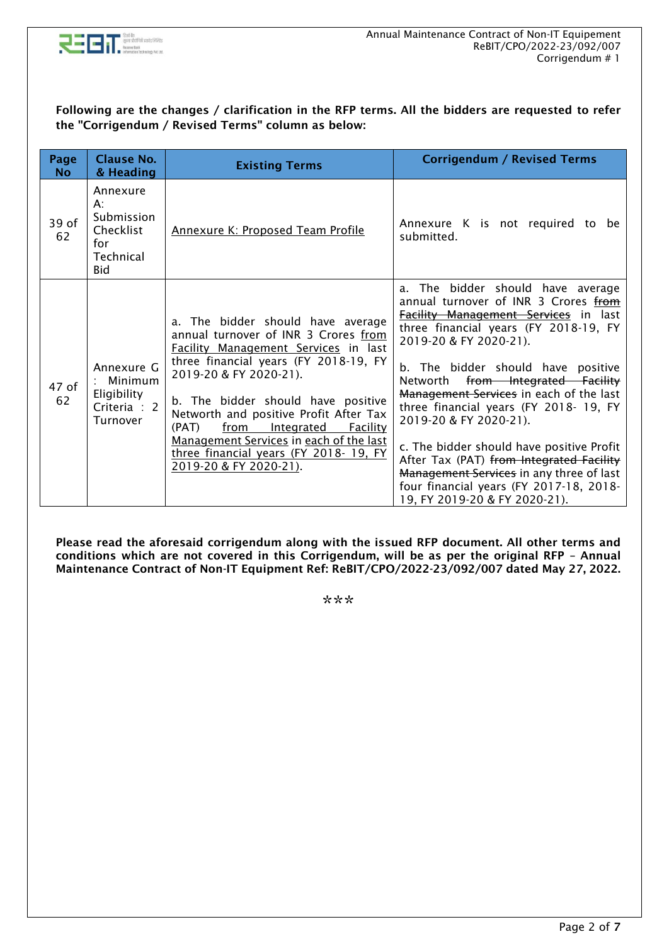

## Following are the changes / clarification in the RFP terms. All the bidders are requested to refer the "Corrigendum / Revised Terms" column as below:

| Page<br><b>No</b> | <b>Clause No.</b><br>& Heading                                          | <b>Existing Terms</b>                                                                                                                                                                                                                                                                                                                                                                                                                | <b>Corrigendum / Revised Terms</b>                                                                                                                                                                                                                                                                                                                                                                                                                                                                                                                                                                          |
|-------------------|-------------------------------------------------------------------------|--------------------------------------------------------------------------------------------------------------------------------------------------------------------------------------------------------------------------------------------------------------------------------------------------------------------------------------------------------------------------------------------------------------------------------------|-------------------------------------------------------------------------------------------------------------------------------------------------------------------------------------------------------------------------------------------------------------------------------------------------------------------------------------------------------------------------------------------------------------------------------------------------------------------------------------------------------------------------------------------------------------------------------------------------------------|
| 39 of<br>62       | Annexure<br>$A$ :<br>Submission<br>Checklist<br>for<br>Technical<br>Bid | <b>Annexure K: Proposed Team Profile</b>                                                                                                                                                                                                                                                                                                                                                                                             | Annexure K is not required to be<br>submitted.                                                                                                                                                                                                                                                                                                                                                                                                                                                                                                                                                              |
| 47 of<br>62       | Annexure G<br>Minimum<br>Eligibility<br>Criteria : 2<br>Turnover        | a. The bidder should have average<br>annual turnover of INR 3 Crores from<br><b>Facility Management Services in last</b><br>three financial years (FY 2018-19, FY<br>2019-20 & FY 2020-21).<br>b. The bidder should have positive<br>Networth and positive Profit After Tax<br>(PAT)<br>from<br>Integrated<br>Facility<br>Management Services in each of the last<br>three financial years (FY 2018-19, FY<br>2019-20 & FY 2020-21). | The bidder should have average<br>a.<br>annual turnover of INR 3 Crores from<br><b>Facility Management Services</b> in last<br>three financial years (FY 2018-19, FY<br>2019-20 & FY 2020-21).<br>b. The bidder should have positive<br>from Integrated Facility<br>Networth<br>Management Services in each of the last<br>three financial years (FY 2018-19, FY<br>2019-20 & FY 2020-21).<br>c. The bidder should have positive Profit<br>After Tax (PAT) from Integrated Facility<br>Management Services in any three of last<br>four financial years (FY 2017-18, 2018-<br>19, FY 2019-20 & FY 2020-21). |

Please read the aforesaid corrigendum along with the issued RFP document. All other terms and conditions which are not covered in this Corrigendum, will be as per the original RFP – Annual Maintenance Contract of Non-IT Equipment Ref: ReBIT/CPO/2022-23/092/007 dated May 27, 2022.

\*\*\*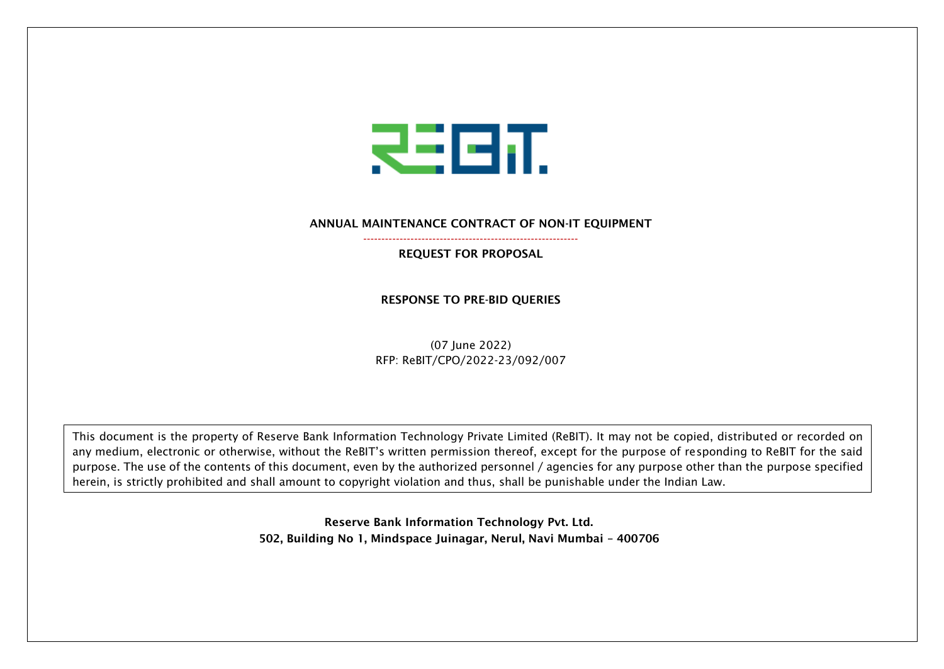

ANNUAL MAINTENANCE CONTRACT OF NON-IT EQUIPMENT

----------------------------------------------------------- REQUEST FOR PROPOSAL

## RESPONSE TO PRE-BID QUERIES

(07 June 2022) RFP: ReBIT/CPO/2022-23/092/007

This document is the property of Reserve Bank Information Technology Private Limited (ReBIT). It may not be copied, distributed or recorded on any medium, electronic or otherwise, without the ReBIT's written permission thereof, except for the purpose of responding to ReBIT for the said purpose. The use of the contents of this document, even by the authorized personnel / agencies for any purpose other than the purpose specified herein, is strictly prohibited and shall amount to copyright violation and thus, shall be punishable under the Indian Law.

> Reserve Bank Information Technology Pvt. Ltd. 502, Building No 1, Mindspace Juinagar, Nerul, Navi Mumbai – 400706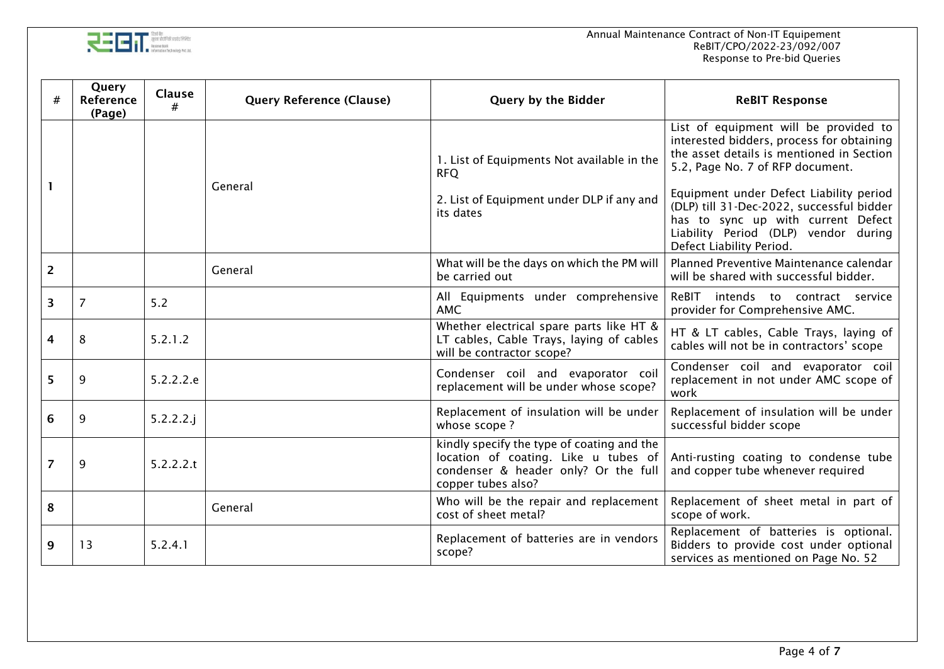

|                | Query<br>Reference<br>(Page) | <b>Clause</b><br># | <b>Query Reference (Clause)</b> | Query by the Bidder                                                                                                                              | <b>ReBIT Response</b>                                                                                                                                                                                                                                                                                                                                                 |  |
|----------------|------------------------------|--------------------|---------------------------------|--------------------------------------------------------------------------------------------------------------------------------------------------|-----------------------------------------------------------------------------------------------------------------------------------------------------------------------------------------------------------------------------------------------------------------------------------------------------------------------------------------------------------------------|--|
| 1.             |                              |                    | General                         | 1. List of Equipments Not available in the<br><b>RFQ</b><br>2. List of Equipment under DLP if any and<br>its dates                               | List of equipment will be provided to<br>interested bidders, process for obtaining<br>the asset details is mentioned in Section<br>5.2, Page No. 7 of RFP document.<br>Equipment under Defect Liability period<br>(DLP) till 31-Dec-2022, successful bidder<br>has to sync up with current Defect<br>Liability Period (DLP) vendor during<br>Defect Liability Period. |  |
| $\overline{2}$ |                              |                    | General                         | What will be the days on which the PM will<br>be carried out                                                                                     | Planned Preventive Maintenance calendar<br>will be shared with successful bidder.                                                                                                                                                                                                                                                                                     |  |
| 3              | $\overline{7}$               | 5.2                |                                 | All Equipments under comprehensive<br><b>AMC</b>                                                                                                 | ReBIT intends to contract service<br>provider for Comprehensive AMC.                                                                                                                                                                                                                                                                                                  |  |
| 4              | 8                            | 5.2.1.2            |                                 | Whether electrical spare parts like HT &<br>LT cables, Cable Trays, laying of cables<br>will be contractor scope?                                | HT & LT cables, Cable Trays, laying of<br>cables will not be in contractors' scope                                                                                                                                                                                                                                                                                    |  |
| 5              | 9                            | 5.2.2.2.e          |                                 | Condenser coil and evaporator coil<br>replacement will be under whose scope?                                                                     | Condenser coil and evaporator coil<br>replacement in not under AMC scope of<br>work                                                                                                                                                                                                                                                                                   |  |
| 6              | 9                            | $5.2.2.2.$ j       |                                 | Replacement of insulation will be under<br>whose scope?                                                                                          | Replacement of insulation will be under<br>successful bidder scope                                                                                                                                                                                                                                                                                                    |  |
| $\overline{7}$ | 9                            | 5.2.2.2.t          |                                 | kindly specify the type of coating and the<br>location of coating. Like u tubes of<br>condenser & header only? Or the full<br>copper tubes also? | Anti-rusting coating to condense tube<br>and copper tube whenever required                                                                                                                                                                                                                                                                                            |  |
| 8              |                              |                    | General                         | Who will be the repair and replacement<br>cost of sheet metal?                                                                                   | Replacement of sheet metal in part of<br>scope of work.                                                                                                                                                                                                                                                                                                               |  |
| 9              | 13                           | 5.2.4.1            |                                 | Replacement of batteries are in vendors<br>scope?                                                                                                | Replacement of batteries is optional.<br>Bidders to provide cost under optional<br>services as mentioned on Page No. 52                                                                                                                                                                                                                                               |  |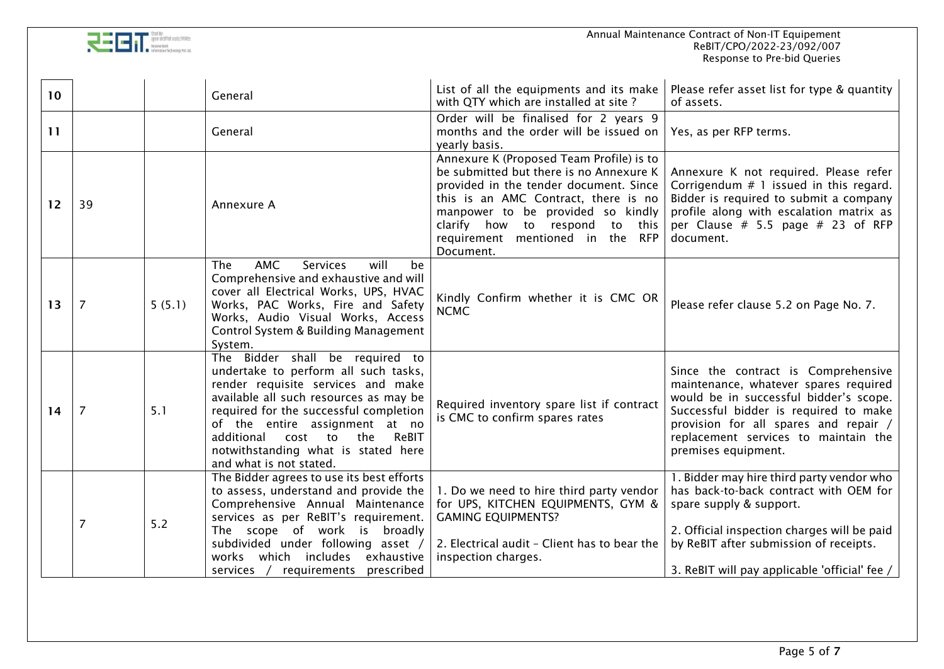

| 10 <sup>°</sup> |                |        | General                                                                                                                                                                                                                                                                                                                                           | List of all the equipments and its make<br>with QTY which are installed at site?                                                                                                                                                                                                                 | Please refer asset list for type & quantity<br>of assets.                                                                                                                                                                                                               |
|-----------------|----------------|--------|---------------------------------------------------------------------------------------------------------------------------------------------------------------------------------------------------------------------------------------------------------------------------------------------------------------------------------------------------|--------------------------------------------------------------------------------------------------------------------------------------------------------------------------------------------------------------------------------------------------------------------------------------------------|-------------------------------------------------------------------------------------------------------------------------------------------------------------------------------------------------------------------------------------------------------------------------|
| 11              |                |        | General                                                                                                                                                                                                                                                                                                                                           | Order will be finalised for 2 years 9<br>months and the order will be issued on<br>yearly basis.                                                                                                                                                                                                 | Yes, as per RFP terms.                                                                                                                                                                                                                                                  |
| 12              | 39             |        | Annexure A                                                                                                                                                                                                                                                                                                                                        | Annexure K (Proposed Team Profile) is to<br>be submitted but there is no Annexure K<br>provided in the tender document. Since<br>this is an AMC Contract, there is no<br>manpower to be provided so kindly<br>clarify how to respond<br>to this<br>requirement mentioned in the RFP<br>Document. | Annexure K not required. Please refer<br>Corrigendum $# 1$ issued in this regard.<br>Bidder is required to submit a company<br>profile along with escalation matrix as<br>per Clause $# 5.5$ page $# 23$ of RFP<br>document.                                            |
| 13              | $\overline{7}$ | 5(5.1) | <b>AMC</b><br>will<br>be<br>The<br><b>Services</b><br>Comprehensive and exhaustive and will<br>cover all Electrical Works, UPS, HVAC<br>Works, PAC Works, Fire and Safety<br>Works, Audio Visual Works, Access<br>Control System & Building Management<br>System.                                                                                 | Kindly Confirm whether it is CMC OR<br><b>NCMC</b>                                                                                                                                                                                                                                               | Please refer clause 5.2 on Page No. 7.                                                                                                                                                                                                                                  |
| 14              | $\overline{7}$ | 5.1    | The Bidder shall be required to<br>undertake to perform all such tasks,<br>render requisite services and make<br>available all such resources as may be<br>required for the successful completion<br>of the entire assignment at no<br>ReBIT<br>additional<br>cost<br>the<br>to<br>notwithstanding what is stated here<br>and what is not stated. | Required inventory spare list if contract<br>is CMC to confirm spares rates                                                                                                                                                                                                                      | Since the contract is Comprehensive<br>maintenance, whatever spares required<br>would be in successful bidder's scope.<br>Successful bidder is required to make<br>provision for all spares and repair /<br>replacement services to maintain the<br>premises equipment. |
|                 | $\overline{7}$ | 5.2    | The Bidder agrees to use its best efforts<br>to assess, understand and provide the<br>Comprehensive Annual Maintenance<br>services as per ReBIT's requirement.<br>The scope of work is<br>broadly<br>subdivided under following asset /<br>works which includes<br>exhaustive<br>requirements prescribed<br>services /                            | 1. Do we need to hire third party vendor<br>for UPS, KITCHEN EQUIPMENTS, GYM &<br><b>GAMING EQUIPMENTS?</b><br>2. Electrical audit - Client has to bear the<br>inspection charges.                                                                                                               | 1. Bidder may hire third party vendor who<br>has back-to-back contract with OEM for<br>spare supply & support.<br>2. Official inspection charges will be paid<br>by ReBIT after submission of receipts.<br>3. ReBIT will pay applicable 'official' fee /                |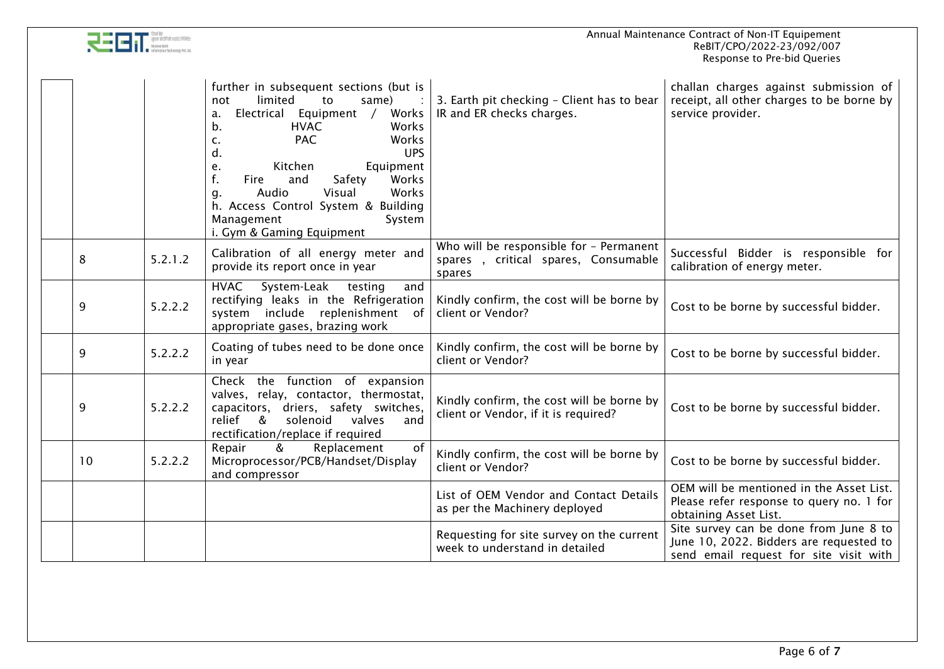|  |                                                                                                                                                        |         | Annual Maintenance Contract of Non-IT Equipement<br>ReBIT/CPO/2022-23/092/007<br>Response to Pre-bid Queries                                                                                                                              |                                                                                          |                                                                                                                             |  |
|--|--------------------------------------------------------------------------------------------------------------------------------------------------------|---------|-------------------------------------------------------------------------------------------------------------------------------------------------------------------------------------------------------------------------------------------|------------------------------------------------------------------------------------------|-----------------------------------------------------------------------------------------------------------------------------|--|
|  | limited<br>not<br>to<br>a.<br>b.<br><b>HVAC</b><br><b>PAC</b><br>c.<br>d.<br>Kitchen<br>e.<br>f.<br>and<br>Fire<br>Audio<br>Visual<br>g.<br>Management |         | further in subsequent sections (but is<br>same)<br>Electrical Equipment /<br>Works<br>Works<br>Works<br><b>UPS</b><br>Equipment<br>Safety<br>Works<br>Works<br>h. Access Control System & Building<br>System<br>i. Gym & Gaming Equipment | 3. Earth pit checking - Client has to bear<br>IR and ER checks charges.                  | challan charges against submission of<br>receipt, all other charges to be borne by<br>service provider.                     |  |
|  | 8                                                                                                                                                      | 5.2.1.2 | Calibration of all energy meter and<br>provide its report once in year                                                                                                                                                                    | Who will be responsible for - Permanent<br>spares, critical spares, Consumable<br>spares | Successful Bidder is responsible for<br>calibration of energy meter.                                                        |  |
|  | 9                                                                                                                                                      | 5.2.2.2 | <b>HVAC</b><br>System-Leak<br>testing<br>and<br>rectifying leaks in the Refrigeration<br>system include replenishment of<br>appropriate gases, brazing work                                                                               | Kindly confirm, the cost will be borne by<br>client or Vendor?                           | Cost to be borne by successful bidder.                                                                                      |  |
|  | 9                                                                                                                                                      | 5.2.2.2 | Coating of tubes need to be done once<br>in year                                                                                                                                                                                          | Kindly confirm, the cost will be borne by<br>client or Vendor?                           | Cost to be borne by successful bidder.                                                                                      |  |
|  | 9                                                                                                                                                      | 5.2.2.2 | Check the function of expansion<br>valves, relay, contactor, thermostat,<br>capacitors, driers, safety switches,<br>solenoid<br>valves<br>relief<br>&<br>and<br>rectification/replace if required                                         | Kindly confirm, the cost will be borne by<br>client or Vendor, if it is required?        | Cost to be borne by successful bidder.                                                                                      |  |
|  | 10                                                                                                                                                     | 5.2.2.2 | Replacement<br>Repair<br>of<br>&<br>Microprocessor/PCB/Handset/Display<br>and compressor                                                                                                                                                  | Kindly confirm, the cost will be borne by<br>client or Vendor?                           | Cost to be borne by successful bidder.                                                                                      |  |
|  |                                                                                                                                                        |         |                                                                                                                                                                                                                                           | List of OEM Vendor and Contact Details<br>as per the Machinery deployed                  | OEM will be mentioned in the Asset List.<br>Please refer response to query no. 1 for<br>obtaining Asset List.               |  |
|  |                                                                                                                                                        |         |                                                                                                                                                                                                                                           | Requesting for site survey on the current<br>week to understand in detailed              | Site survey can be done from June 8 to<br>June 10, 2022. Bidders are requested to<br>send email request for site visit with |  |